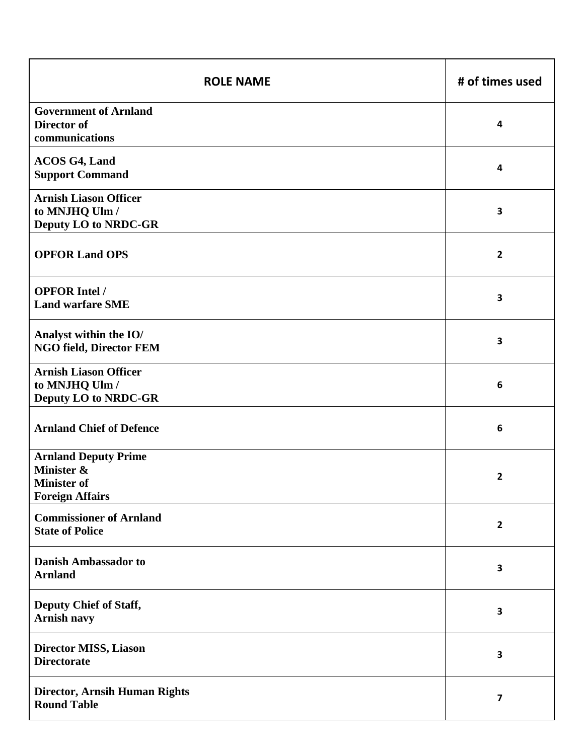| <b>ROLE NAME</b>                                                                          | # of times used         |
|-------------------------------------------------------------------------------------------|-------------------------|
| <b>Government of Arnland</b><br>Director of<br>communications                             | 4                       |
| <b>ACOS G4, Land</b><br><b>Support Command</b>                                            | 4                       |
| <b>Arnish Liason Officer</b><br>to MNJHQ Ulm /<br><b>Deputy LO to NRDC-GR</b>             | $\overline{\mathbf{3}}$ |
| <b>OPFOR Land OPS</b>                                                                     | $\overline{2}$          |
| <b>OPFOR Intel /</b><br><b>Land warfare SME</b>                                           | 3                       |
| Analyst within the IO/<br><b>NGO field, Director FEM</b>                                  | 3                       |
| <b>Arnish Liason Officer</b><br>to MNJHQ Ulm /<br><b>Deputy LO to NRDC-GR</b>             | 6                       |
| <b>Arnland Chief of Defence</b>                                                           | 6                       |
| <b>Arnland Deputy Prime</b><br>Minister &<br><b>Minister of</b><br><b>Foreign Affairs</b> | $\overline{2}$          |
| <b>Commissioner of Arnland</b><br><b>State of Police</b>                                  | $\overline{2}$          |
| <b>Danish Ambassador to</b><br><b>Arnland</b>                                             | 3                       |
| Deputy Chief of Staff,<br>Arnish navy                                                     | 3                       |
| Director MISS, Liason<br><b>Directorate</b>                                               | 3                       |
| <b>Director, Arnsih Human Rights</b><br><b>Round Table</b>                                | $\overline{\mathbf{z}}$ |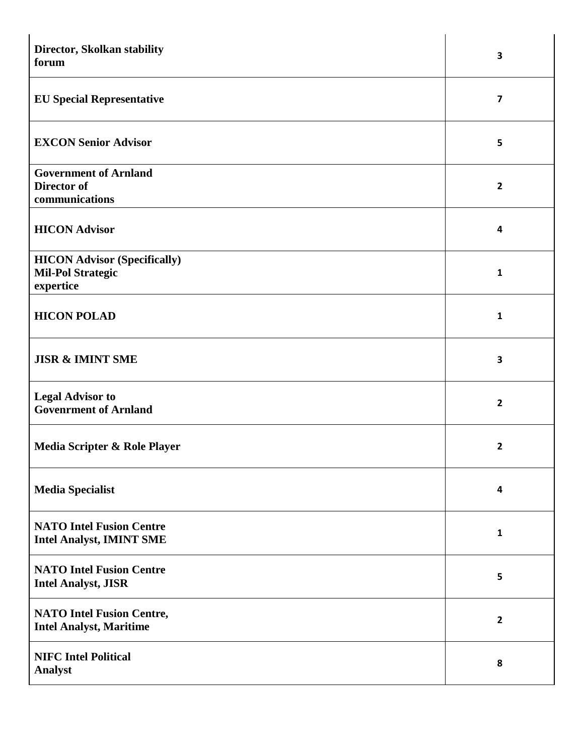| Director, Skolkan stability<br>forum                                         | $\overline{\mathbf{3}}$ |
|------------------------------------------------------------------------------|-------------------------|
| <b>EU Special Representative</b>                                             | $\overline{\mathbf{z}}$ |
| <b>EXCON Senior Advisor</b>                                                  | 5                       |
| <b>Government of Arnland</b><br>Director of<br>communications                | $\overline{2}$          |
| <b>HICON Advisor</b>                                                         | 4                       |
| <b>HICON Advisor (Specifically)</b><br><b>Mil-Pol Strategic</b><br>expertice | 1                       |
| <b>HICON POLAD</b>                                                           | 1                       |
| <b>JISR &amp; IMINT SME</b>                                                  | 3                       |
| <b>Legal Advisor to</b><br><b>Govenrment of Arnland</b>                      | $\overline{\mathbf{c}}$ |
| Media Scripter & Role Player                                                 | $\overline{\mathbf{2}}$ |
| <b>Media Specialist</b>                                                      | 4                       |
| <b>NATO Intel Fusion Centre</b><br><b>Intel Analyst, IMINT SME</b>           | 1                       |
| <b>NATO Intel Fusion Centre</b><br><b>Intel Analyst, JISR</b>                | 5                       |
| <b>NATO Intel Fusion Centre,</b><br><b>Intel Analyst, Maritime</b>           | $\overline{2}$          |
| <b>NIFC Intel Political</b><br><b>Analyst</b>                                | 8                       |